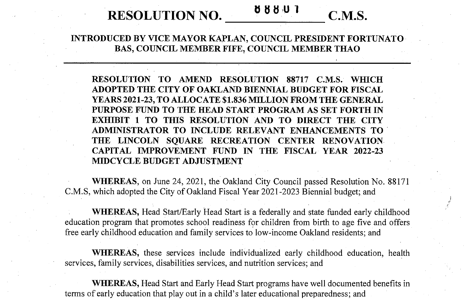## **<sup>0</sup> <sup>b</sup> 8UI RESOLUTION NO. C.M.S.**



*J*

**INTRODUCED BY VICE MAYOR KAPLAN, COUNCIL PRESIDENT FORTUNATO BAS, COUNCIL MEMBER FIFE, COUNCIL MEMBER THAO**

**RESOLUTION TO AMEND RESOLUTION 88717 C.M.S. WHICH ADOPTED THE CITY OF OAKLAND BIENNIAL BUDGET FOR FISCAL YEARS 2021-23, TO ALLOCATE \$1,836 MILLION FROM THE GENERAL PURPOSE FUND TO THE HEAD START PROGRAM AS SET FORTH IN EXHIBIT 1 TO THIS RESOLUTION AND TO DIRECT THE CITY ADMINISTRATOR TO INCLUDE RELEVANT ENHANCEMENTS TO THE LINCOLN SQUARE RECREATION CENTER RENOVATION CAPITAL IMPROVEMENT FUND IN THE FISCAL YEAR 2022-23 MIDCYCLE BUDGET ADJUSTMENT**

**WHEREAS,** on June 24, 2021, the Oakland City Council passed Resolution No. 88171 C.M.S, which adopted the City of Oakland Fiscal Year 2021-2023 Biennial budget; and

**WHEREAS,** Head Start/Early Head Start is a federally and state funded early childhood education program that promotes school readiness for children from birth to age five and offers free early childhood education and family services to low-income Oakland residents; and

**WHEREAS,** these services include individualized early childhood education, health services, family services, disabilities services, and nutrition services; and

**WHEREAS,** Head Start and Early Head Start programs have well documented benefits in terms of early education that play out in a child's later educational preparedness; and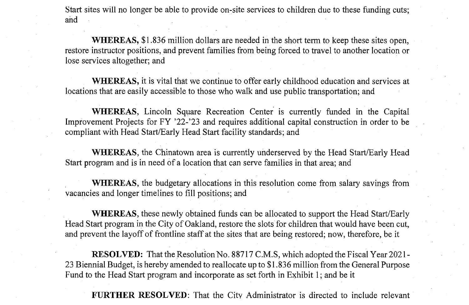Start sites will no longer be able to provide on-site services to children due to these funding cuts; and

**WHEREAS,** \$1,836 million dollars are needed in the short term to keep these sites open, restore instructor positions, and prevent families from being forced to travel to another location or lose services altogether; and

**WHEREAS,** it is vital that we continue to offer early childhood education and services at locations that are easily accessible to those who walk and use public transportation; and

**WHEREAS,** Lincoln Square Recreation Center is currently funded in the Capital Improvement Projects for FY '22-'23 and requires additional capital construction in order to be compliant with Head Start/Early Head Start facility standards; and

**WHEREAS,** the Chinatown area is currently underserved by the Head Start/Early Head Start program and is in need of a location that can serve families in that area; and

**WHEREAS,** the budgetary allocations in this resolution come from salary savings from vacancies and longer timelines to fill positions; and

**WHEREAS,** these newly obtained funds can be allocated to support the Head Start/Early Head Start program in the City of Oakland, restore the slots for children that would have been cut, and prevent the layoff of frontline staff at the sites that are being restored; now, therefore, be it

**RESOLVED:** That the Resolution No. 88717 C.M.S, which adopted the Fiscal Year 2021-23 Biennial Budget, is hereby amended to reallocate up to \$1.836 million from the General Purpose Fund to the Head Start program and incorporate as set forth in Exhibit 1; and be it

**FURTHER RESOLVED:** That the Citv Administrator is directed to include relevant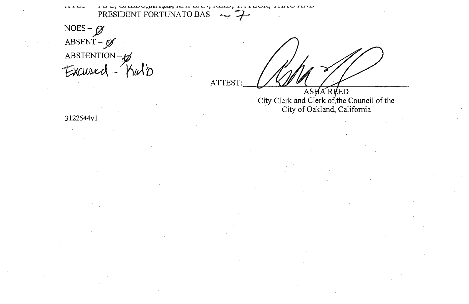$\overline{11110}$ LILLA UITIDU, IERE ERAPE IXITE DITTY, ITULIO, TITTUOTA TEITUOTATTU PRESIDENT FORTUNATO BAS

NOES –  $\beta$ <br>ABSENT –  $\beta$ ABSTENTION-8

**ATTEST** 

ASHA REED<br>City Clerk and Clerk of the Council of the City of Oakland, California

3122544v1